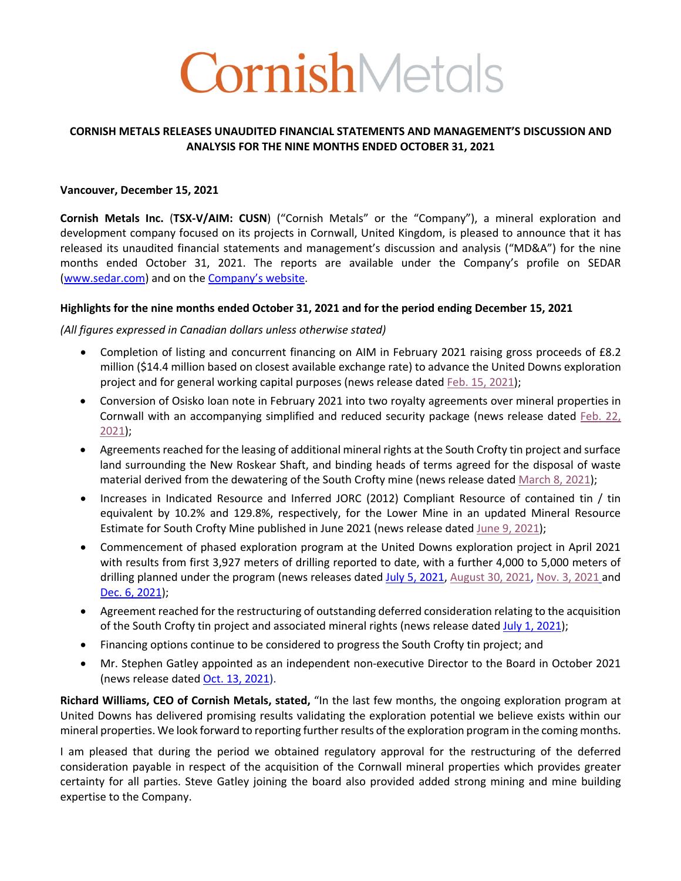# CornishMetals

#### **CORNISH METALS RELEASES UNAUDITED FINANCIAL STATEMENTS AND MANAGEMENT'S DISCUSSION AND ANALYSIS FOR THE NINE MONTHS ENDED OCTOBER 31, 2021**

#### **Vancouver, December 15, 2021**

**Cornish Metals Inc.** (**TSX-V/AIM: CUSN**) ("Cornish Metals" or the "Company"), a mineral exploration and development company focused on its projects in Cornwall, United Kingdom, is pleased to announce that it has released its unaudited financial statements and management's discussion and analysis ("MD&A") for the nine months ended October 31, 2021. The reports are available under the Company's profile on SEDAR (www.sedar.com) and on the Company's website.

#### **Highlights for the nine months ended October 31, 2021 and for the period ending December 15, 2021**

#### *(All figures expressed in Canadian dollars unless otherwise stated)*

- Completion of listing and concurrent financing on AIM in February 2021 raising gross proceeds of £8.2 million (\$14.4 million based on closest available exchange rate) to advance the United Downs exploration project and for general working capital purposes (news release dated Feb. 15, 2021);
- Conversion of Osisko loan note in February 2021 into two royalty agreements over mineral properties in Cornwall with an accompanying simplified and reduced security package (news release dated Feb. 22, 2021);
- Agreements reached for the leasing of additional mineral rights at the South Crofty tin project and surface land surrounding the New Roskear Shaft, and binding heads of terms agreed for the disposal of waste material derived from the dewatering of the South Crofty mine (news release dated March 8, 2021);
- Increases in Indicated Resource and Inferred JORC (2012) Compliant Resource of contained tin / tin equivalent by 10.2% and 129.8%, respectively, for the Lower Mine in an updated Mineral Resource Estimate for South Crofty Mine published in June 2021 (news release dated June 9, 2021);
- Commencement of phased exploration program at the United Downs exploration project in April 2021 with results from first 3,927 meters of drilling reported to date, with a further 4,000 to 5,000 meters of drilling planned under the program (news releases dated July 5, 2021, August 30, 2021, Nov. 3, 2021 and Dec. 6, 2021);
- Agreement reached for the restructuring of outstanding deferred consideration relating to the acquisition of the South Crofty tin project and associated mineral rights (news release dated July 1, 2021);
- Financing options continue to be considered to progress the South Crofty tin project; and
- Mr. Stephen Gatley appointed as an independent non-executive Director to the Board in October 2021 (news release dated Oct. 13, 2021).

**Richard Williams, CEO of Cornish Metals, stated,** "In the last few months, the ongoing exploration program at United Downs has delivered promising results validating the exploration potential we believe exists within our mineral properties. We look forward to reporting further results of the exploration program in the coming months.

I am pleased that during the period we obtained regulatory approval for the restructuring of the deferred consideration payable in respect of the acquisition of the Cornwall mineral properties which provides greater certainty for all parties. Steve Gatley joining the board also provided added strong mining and mine building expertise to the Company.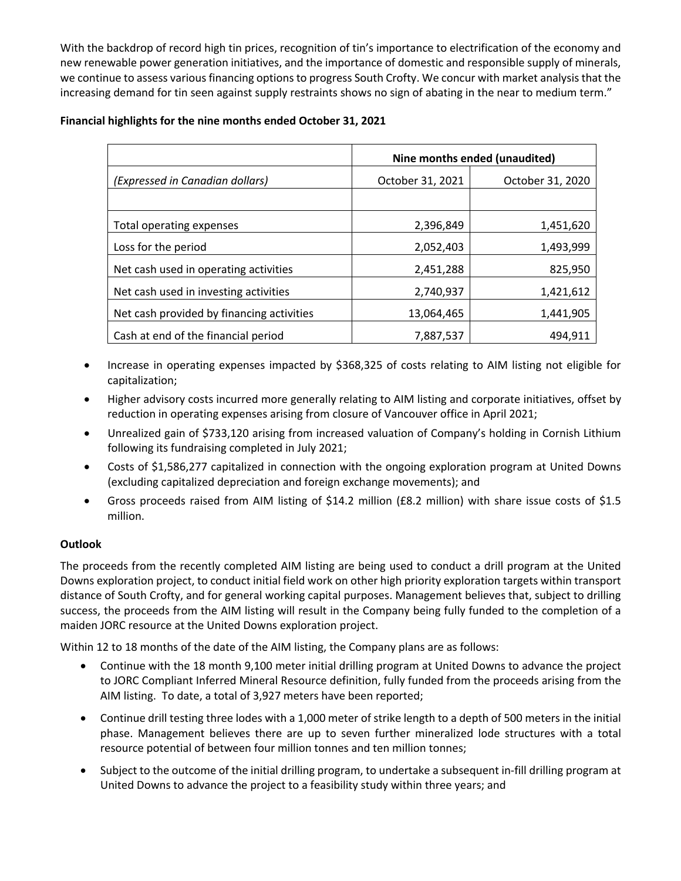With the backdrop of record high tin prices, recognition of tin's importance to electrification of the economy and new renewable power generation initiatives, and the importance of domestic and responsible supply of minerals, we continue to assess various financing options to progress South Crofty. We concur with market analysis that the increasing demand for tin seen against supply restraints shows no sign of abating in the near to medium term."

#### **Financial highlights for the nine months ended October 31, 2021**

|                                           | Nine months ended (unaudited) |                  |  |  |  |  |
|-------------------------------------------|-------------------------------|------------------|--|--|--|--|
| (Expressed in Canadian dollars)           | October 31, 2021              | October 31, 2020 |  |  |  |  |
|                                           |                               |                  |  |  |  |  |
| <b>Total operating expenses</b>           | 2,396,849                     | 1,451,620        |  |  |  |  |
| Loss for the period                       | 2,052,403                     | 1,493,999        |  |  |  |  |
| Net cash used in operating activities     | 2,451,288                     | 825,950          |  |  |  |  |
| Net cash used in investing activities     | 2,740,937                     | 1,421,612        |  |  |  |  |
| Net cash provided by financing activities | 13,064,465                    | 1,441,905        |  |  |  |  |
| Cash at end of the financial period       | 7,887,537                     | 494,911          |  |  |  |  |

- Increase in operating expenses impacted by \$368,325 of costs relating to AIM listing not eligible for capitalization;
- Higher advisory costs incurred more generally relating to AIM listing and corporate initiatives, offset by reduction in operating expenses arising from closure of Vancouver office in April 2021;
- Unrealized gain of \$733,120 arising from increased valuation of Company's holding in Cornish Lithium following its fundraising completed in July 2021;
- Costs of \$1,586,277 capitalized in connection with the ongoing exploration program at United Downs (excluding capitalized depreciation and foreign exchange movements); and
- Gross proceeds raised from AIM listing of \$14.2 million (£8.2 million) with share issue costs of \$1.5 million.

### **Outlook**

The proceeds from the recently completed AIM listing are being used to conduct a drill program at the United Downs exploration project, to conduct initial field work on other high priority exploration targets within transport distance of South Crofty, and for general working capital purposes. Management believes that, subject to drilling success, the proceeds from the AIM listing will result in the Company being fully funded to the completion of a maiden JORC resource at the United Downs exploration project.

Within 12 to 18 months of the date of the AIM listing, the Company plans are as follows:

- Continue with the 18 month 9,100 meter initial drilling program at United Downs to advance the project to JORC Compliant Inferred Mineral Resource definition, fully funded from the proceeds arising from the AIM listing. To date, a total of 3,927 meters have been reported;
- Continue drill testing three lodes with a 1,000 meter of strike length to a depth of 500 meters in the initial phase. Management believes there are up to seven further mineralized lode structures with a total resource potential of between four million tonnes and ten million tonnes;
- Subject to the outcome of the initial drilling program, to undertake a subsequent in-fill drilling program at United Downs to advance the project to a feasibility study within three years; and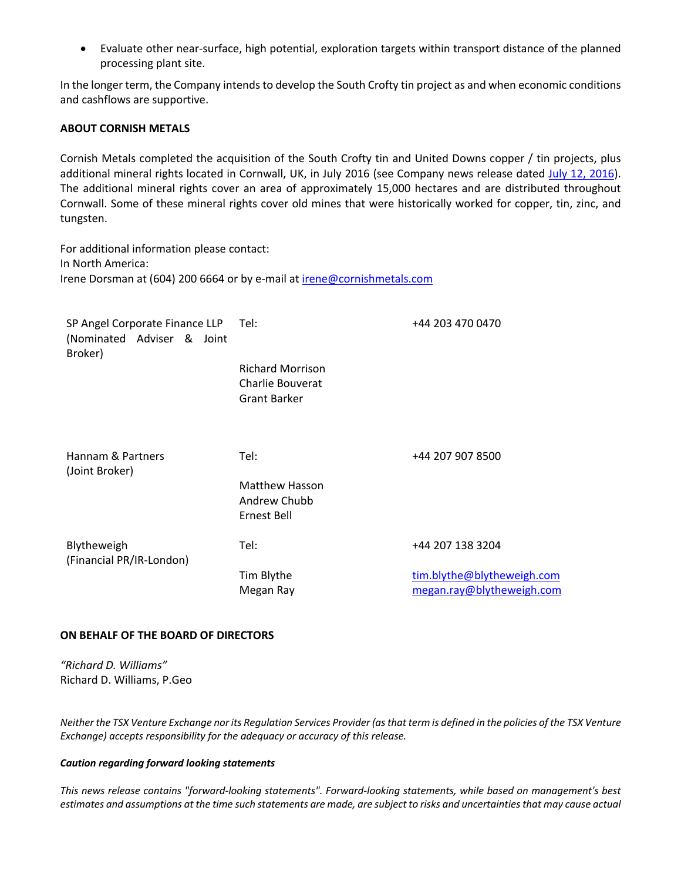• Evaluate other near-surface, high potential, exploration targets within transport distance of the planned processing plant site.

In the longer term, the Company intends to develop the South Crofty tin project as and when economic conditions and cashflows are supportive.

#### **ABOUT CORNISH METALS**

Cornish Metals completed the acquisition of the South Crofty tin and United Downs copper / tin projects, plus additional mineral rights located in Cornwall, UK, in July 2016 (see Company news release dated July 12, 2016). The additional mineral rights cover an area of approximately 15,000 hectares and are distributed throughout Cornwall. Some of these mineral rights cover old mines that were historically worked for copper, tin, zinc, and tungsten.

For additional information please contact: In North America: Irene Dorsman at (604) 200 6664 or by e-mail at irene@cornishmetals.com

| SP Angel Corporate Finance LLP<br>(Nominated Adviser & Joint<br>Broker) | Tel:                                                               | +44 203 470 0470                                        |
|-------------------------------------------------------------------------|--------------------------------------------------------------------|---------------------------------------------------------|
|                                                                         | <b>Richard Morrison</b><br>Charlie Bouverat<br><b>Grant Barker</b> |                                                         |
| Hannam & Partners<br>(Joint Broker)                                     | Tel:                                                               | +44 207 907 8500                                        |
|                                                                         | <b>Matthew Hasson</b><br>Andrew Chubb<br>Ernest Bell               |                                                         |
| Blytheweigh<br>(Financial PR/IR-London)                                 | Tel:                                                               | +44 207 138 3204                                        |
|                                                                         | Tim Blythe<br>Megan Ray                                            | tim.blythe@blytheweigh.com<br>megan.ray@blytheweigh.com |

#### **ON BEHALF OF THE BOARD OF DIRECTORS**

*"Richard D. Williams"* Richard D. Williams, P.Geo

*Neither the TSX Venture Exchange nor its Regulation Services Provider (as that term is defined in the policies of the TSX Venture Exchange) accepts responsibility for the adequacy or accuracy of this release.* 

#### *Caution regarding forward looking statements*

*This news release contains "forward-looking statements". Forward-looking statements, while based on management's best estimates and assumptions at the time such statements are made, are subject to risks and uncertainties that may cause actual*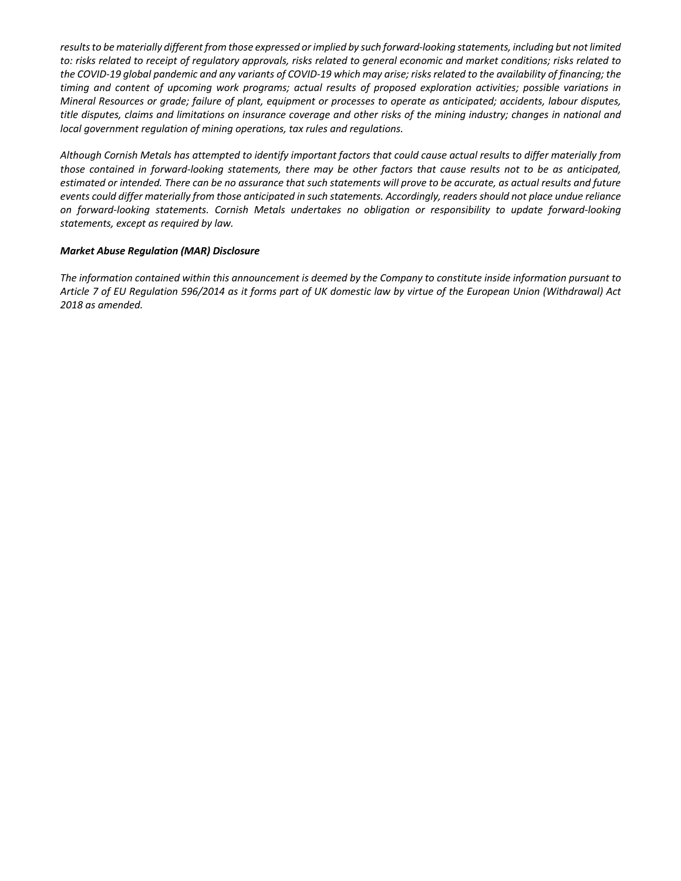*results to be materially different from those expressed or implied by such forward-looking statements, including but not limited to: risks related to receipt of regulatory approvals, risks related to general economic and market conditions; risks related to the COVID-19 global pandemic and any variants of COVID-19 which may arise; risks related to the availability of financing; the timing and content of upcoming work programs; actual results of proposed exploration activities; possible variations in Mineral Resources or grade; failure of plant, equipment or processes to operate as anticipated; accidents, labour disputes, title disputes, claims and limitations on insurance coverage and other risks of the mining industry; changes in national and local government regulation of mining operations, tax rules and regulations.* 

*Although Cornish Metals has attempted to identify important factors that could cause actual results to differ materially from those contained in forward-looking statements, there may be other factors that cause results not to be as anticipated, estimated or intended. There can be no assurance that such statements will prove to be accurate, as actual results and future events could differ materially from those anticipated in such statements. Accordingly, readers should not place undue reliance on forward-looking statements. Cornish Metals undertakes no obligation or responsibility to update forward-looking statements, except as required by law.* 

#### *Market Abuse Regulation (MAR) Disclosure*

*The information contained within this announcement is deemed by the Company to constitute inside information pursuant to Article 7 of EU Regulation 596/2014 as it forms part of UK domestic law by virtue of the European Union (Withdrawal) Act 2018 as amended.*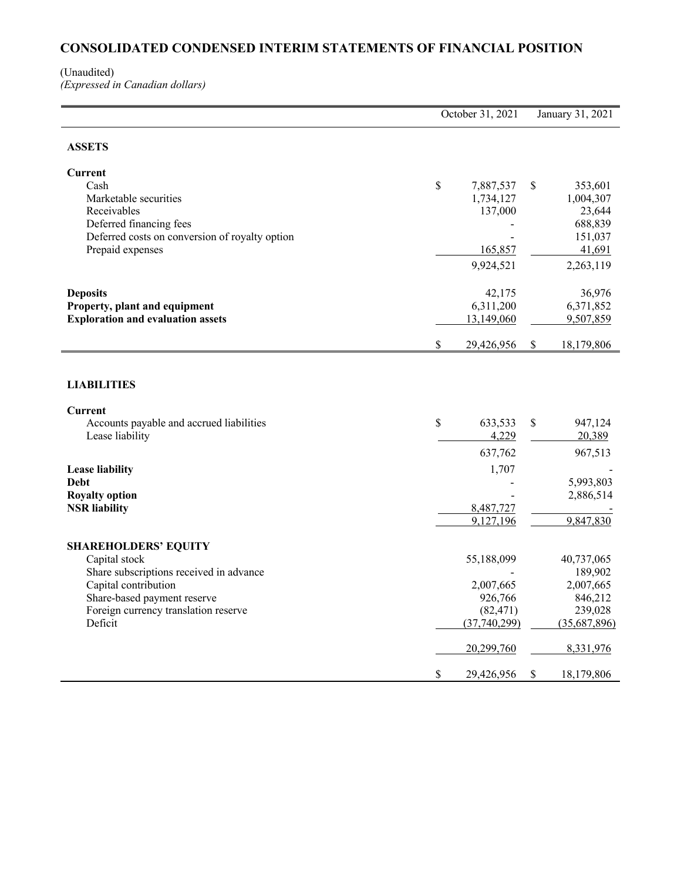# **CONSOLIDATED CONDENSED INTERIM STATEMENTS OF FINANCIAL POSITION**

#### (Unaudited) *(Expressed in Canadian dollars)*

|                                                                                                                                                                                                   | October 31, 2021 | January 31, 2021                                                              |    |                                                                                       |
|---------------------------------------------------------------------------------------------------------------------------------------------------------------------------------------------------|------------------|-------------------------------------------------------------------------------|----|---------------------------------------------------------------------------------------|
| <b>ASSETS</b>                                                                                                                                                                                     |                  |                                                                               |    |                                                                                       |
| Current<br>Cash<br>Marketable securities<br>Receivables<br>Deferred financing fees<br>Deferred costs on conversion of royalty option<br>Prepaid expenses                                          | \$               | 7,887,537<br>1,734,127<br>137,000<br>165,857<br>9,924,521                     | S  | 353,601<br>1,004,307<br>23,644<br>688,839<br>151,037<br>41,691<br>2,263,119           |
| <b>Deposits</b><br>Property, plant and equipment<br><b>Exploration and evaluation assets</b>                                                                                                      | $\$$             | 42,175<br>6,311,200<br>13,149,060<br>29,426,956                               | S. | 36,976<br>6,371,852<br>9,507,859<br>18,179,806                                        |
| <b>LIABILITIES</b><br>Current                                                                                                                                                                     |                  |                                                                               |    |                                                                                       |
| Accounts payable and accrued liabilities<br>Lease liability                                                                                                                                       | \$               | 633,533<br>4,229<br>637,762                                                   | \$ | 947,124<br>20,389<br>967,513                                                          |
| <b>Lease liability</b><br>Debt<br><b>Royalty option</b><br><b>NSR</b> liability                                                                                                                   |                  | 1,707<br>8,487,727<br>9.127.196                                               |    | 5,993,803<br>2,886,514<br>9,847,830                                                   |
| <b>SHAREHOLDERS' EQUITY</b><br>Capital stock<br>Share subscriptions received in advance<br>Capital contribution<br>Share-based payment reserve<br>Foreign currency translation reserve<br>Deficit |                  | 55,188,099<br>2,007,665<br>926,766<br>(82, 471)<br>(37,740,299)<br>20,299,760 |    | 40,737,065<br>189,902<br>2,007,665<br>846,212<br>239,028<br>(35,687,896)<br>8,331,976 |
|                                                                                                                                                                                                   | \$               | 29,426,956                                                                    | \$ | 18,179,806                                                                            |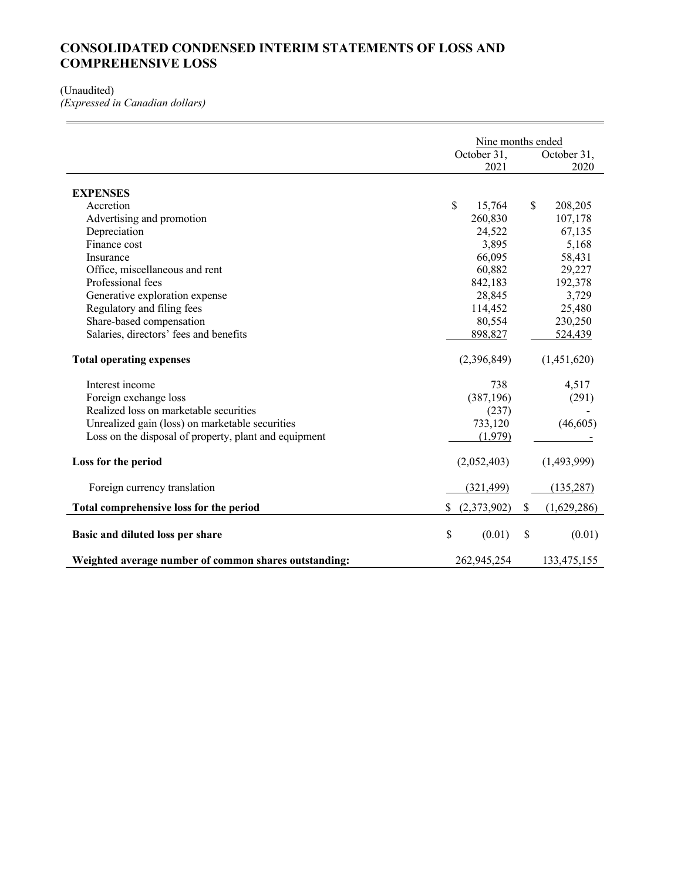## **CONSOLIDATED CONDENSED INTERIM STATEMENTS OF LOSS AND COMPREHENSIVE LOSS**

#### (Unaudited)

*(Expressed in Canadian dollars)*

|                                                       | Nine months ended |             |             |             |  |  |
|-------------------------------------------------------|-------------------|-------------|-------------|-------------|--|--|
|                                                       |                   | October 31, | October 31, |             |  |  |
|                                                       |                   | 2021        |             | 2020        |  |  |
| <b>EXPENSES</b>                                       |                   |             |             |             |  |  |
| Accretion                                             | \$                | 15,764      | \$          | 208,205     |  |  |
| Advertising and promotion                             |                   | 260,830     |             | 107,178     |  |  |
| Depreciation                                          |                   | 24,522      |             | 67,135      |  |  |
| Finance cost                                          |                   | 3,895       |             | 5,168       |  |  |
| Insurance                                             |                   | 66,095      |             | 58,431      |  |  |
| Office, miscellaneous and rent                        |                   | 60,882      |             | 29,227      |  |  |
| Professional fees                                     |                   | 842,183     |             | 192,378     |  |  |
| Generative exploration expense                        |                   | 28,845      |             | 3,729       |  |  |
| Regulatory and filing fees                            |                   | 114,452     |             | 25,480      |  |  |
| Share-based compensation                              |                   | 80,554      |             | 230,250     |  |  |
| Salaries, directors' fees and benefits                |                   | 898,827     |             | 524,439     |  |  |
| <b>Total operating expenses</b>                       |                   | (2,396,849) |             | (1,451,620) |  |  |
| Interest income                                       |                   | 738         |             | 4,517       |  |  |
| Foreign exchange loss                                 |                   | (387, 196)  |             | (291)       |  |  |
| Realized loss on marketable securities                |                   | (237)       |             |             |  |  |
| Unrealized gain (loss) on marketable securities       |                   | 733,120     |             | (46, 605)   |  |  |
| Loss on the disposal of property, plant and equipment |                   | (1,979)     |             |             |  |  |
| Loss for the period                                   |                   | (2,052,403) |             | (1,493,999) |  |  |
| Foreign currency translation                          |                   | (321, 499)  |             | (135, 287)  |  |  |
| Total comprehensive loss for the period               |                   | (2,373,902) | \$          | (1,629,286) |  |  |
| Basic and diluted loss per share                      | \$                | (0.01)      | \$          | (0.01)      |  |  |
| Weighted average number of common shares outstanding: |                   | 262,945,254 |             | 133,475,155 |  |  |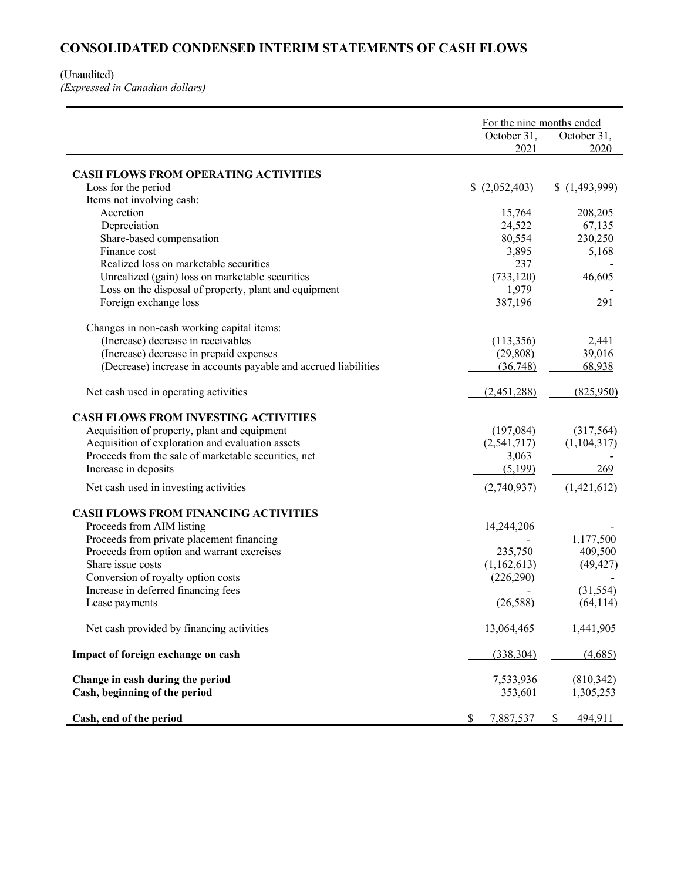## **CONSOLIDATED CONDENSED INTERIM STATEMENTS OF CASH FLOWS**

## (Unaudited)

*(Expressed in Canadian dollars)*

|                                                                 |                 | For the nine months ended |  |  |  |
|-----------------------------------------------------------------|-----------------|---------------------------|--|--|--|
|                                                                 | October 31,     | October 31,               |  |  |  |
|                                                                 | 2021            | 2020                      |  |  |  |
|                                                                 |                 |                           |  |  |  |
| <b>CASH FLOWS FROM OPERATING ACTIVITIES</b>                     |                 |                           |  |  |  |
| Loss for the period                                             | (2,052,403)     | (1,493,999)               |  |  |  |
| Items not involving cash:                                       |                 |                           |  |  |  |
| Accretion                                                       | 15,764          | 208,205                   |  |  |  |
| Depreciation                                                    | 24,522          | 67,135                    |  |  |  |
| Share-based compensation                                        | 80,554          | 230,250                   |  |  |  |
| Finance cost                                                    | 3,895           | 5,168                     |  |  |  |
| Realized loss on marketable securities                          | 237             |                           |  |  |  |
| Unrealized (gain) loss on marketable securities                 | (733, 120)      | 46,605                    |  |  |  |
| Loss on the disposal of property, plant and equipment           | 1,979           |                           |  |  |  |
| Foreign exchange loss                                           | 387,196         | 291                       |  |  |  |
| Changes in non-cash working capital items:                      |                 |                           |  |  |  |
| (Increase) decrease in receivables                              | (113,356)       | 2,441                     |  |  |  |
| (Increase) decrease in prepaid expenses                         | (29, 808)       | 39,016                    |  |  |  |
| (Decrease) increase in accounts payable and accrued liabilities | (36,748)        | 68,938                    |  |  |  |
|                                                                 |                 |                           |  |  |  |
| Net cash used in operating activities                           | (2,451,288)     | (825,950)                 |  |  |  |
| <b>CASH FLOWS FROM INVESTING ACTIVITIES</b>                     |                 |                           |  |  |  |
| Acquisition of property, plant and equipment                    | (197,084)       | (317, 564)                |  |  |  |
| Acquisition of exploration and evaluation assets                | (2,541,717)     | (1,104,317)               |  |  |  |
| Proceeds from the sale of marketable securities, net            | 3,063           |                           |  |  |  |
| Increase in deposits                                            | (5,199)         | 269                       |  |  |  |
| Net cash used in investing activities                           | (2,740,937)     | (1,421,612)               |  |  |  |
|                                                                 |                 |                           |  |  |  |
| <b>CASH FLOWS FROM FINANCING ACTIVITIES</b>                     |                 |                           |  |  |  |
| Proceeds from AIM listing                                       | 14,244,206      |                           |  |  |  |
| Proceeds from private placement financing                       |                 | 1,177,500                 |  |  |  |
| Proceeds from option and warrant exercises                      | 235,750         | 409,500                   |  |  |  |
| Share issue costs                                               | (1,162,613)     | (49, 427)                 |  |  |  |
| Conversion of royalty option costs                              | (226, 290)      |                           |  |  |  |
| Increase in deferred financing fees                             |                 | (31, 554)                 |  |  |  |
| Lease payments                                                  | (26, 588)       | (64, 114)                 |  |  |  |
| Net cash provided by financing activities                       | 13,064,465      | 1,441,905                 |  |  |  |
| Impact of foreign exchange on cash                              | (338, 304)      | (4,685)                   |  |  |  |
| Change in cash during the period                                | 7,533,936       | (810, 342)                |  |  |  |
| Cash, beginning of the period                                   | 353,601         | 1,305,253                 |  |  |  |
|                                                                 |                 |                           |  |  |  |
| Cash, end of the period                                         | \$<br>7,887,537 | \$<br>494,911             |  |  |  |